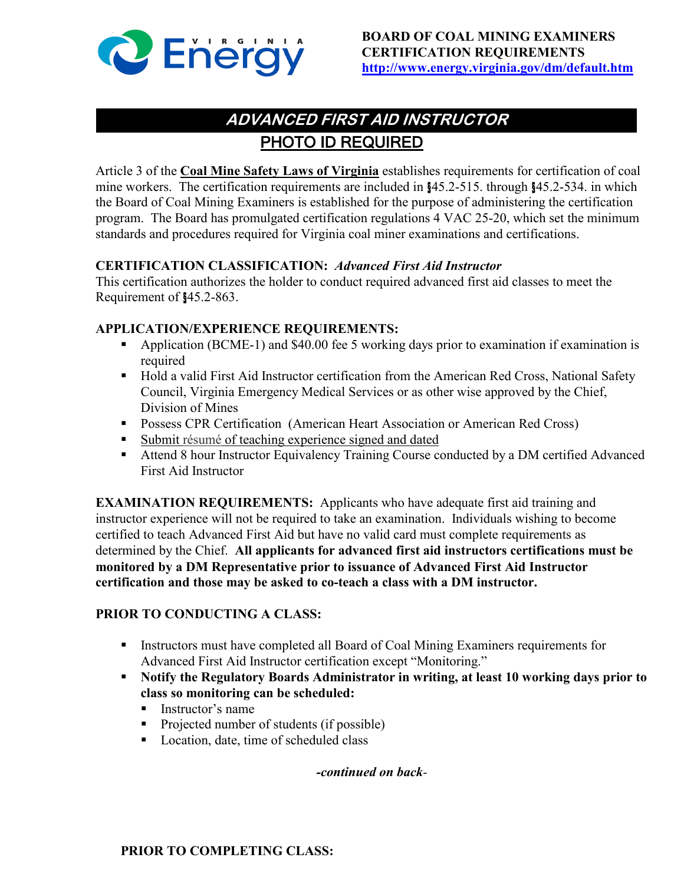

# PHOTO ID REQUIRED **ADVANCED FIRST AID INSTRUCTOR**

Article 3 of the **Coal Mine Safety Laws of Virginia** establishes requirements for certification of coal mine workers. The certification requirements are included in §45.2-515. through §45.2-534. in which the Board of Coal Mining Examiners is established for the purpose of administering the certification program. The Board has promulgated certification regulations 4 VAC 25-20, which set the minimum standards and procedures required for Virginia coal miner examinations and certifications.

# **CERTIFICATION CLASSIFICATION:** *Advanced First Aid Instructor*

This certification authorizes the holder to conduct required advanced first aid classes to meet the Requirement of §45.2-863.

# **APPLICATION/EXPERIENCE REQUIREMENTS:**

- Application (BCME-1) and \$40.00 fee 5 working days prior to examination if examination is required
- Hold a valid First Aid Instructor certification from the American Red Cross, National Safety Council, Virginia Emergency Medical Services or as other wise approved by the Chief, Division of Mines
- **Possess CPR Certification (American Heart Association or American Red Cross)**
- Submit résumé of teaching experience signed and dated
- Attend 8 hour Instructor Equivalency Training Course conducted by a DM certified Advanced First Aid Instructor

**EXAMINATION REQUIREMENTS:** Applicants who have adequate first aid training and instructor experience will not be required to take an examination. Individuals wishing to become certified to teach Advanced First Aid but have no valid card must complete requirements as determined by the Chief. **All applicants for advanced first aid instructors certifications must be monitored by a DM Representative prior to issuance of Advanced First Aid Instructor certification and those may be asked to co-teach a class with a DM instructor.**

# **PRIOR TO CONDUCTING A CLASS:**

- Instructors must have completed all Board of Coal Mining Examiners requirements for Advanced First Aid Instructor certification except "Monitoring."
- **Notify the Regulatory Boards Administrator in writing, at least 10 working days prior to class so monitoring can be scheduled:**
	- $\blacksquare$  Instructor's name
	- **Projected number of students (if possible)**
	- Location, date, time of scheduled class

# *-continued on back-*